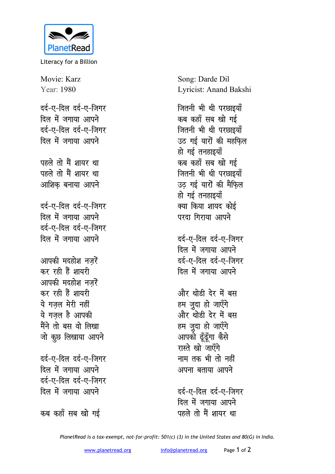

Literacy for a Billion

Movie: Karz Year: 1980 दर्द-ए-दिल दर्द-ए-जिगर दिल में जगाया आपने दर्द-ए-दिल दर्द-ए-जिगर दिल में जगाया आपने पहले तो मैं शायर था पहले तो मैं शायर था आशिक बनाया आपने दर्द-ए-दिल दर्द-ए-जिगर दिल में जगाया आपने दर्द-ए-दिल दर्द-ए-जिगर दिल में जगाया आपने आपकी मदहोश नज़रें कर रही हैं शायरी आपकी मदहोश नजरें कर रही हैं शायरी ये गजल मेरी नहीं ये गजल है आपकी मैंने तो बस वो लिखा जो कूछ लिखाया आपने दर्द-ए-दिल दर्द-ए-जिगर दिल में जगाया आपने दर्द-ए-दिल दर्द-ए-जिगर दिल में जगाया आपने

कब कहाँ सब खो गई

Song: Darde Dil Lyricist: Anand Bakshi

जितनी भी थी परछाइयाँ कब कहाँ सब खो गई जितनी भी थी परछाइयाँ उठ गई यारों की महफिल हो गई तनहाइयाँ कब कहाँ सब खो गई जितनी भी थी परछाइयाँ उठ गई यारों की मैफिल हो गई तनहाइयाँ क्या किया शायद कोई परदा गिराया आपने

दर्द-ए-दिल दर्द-ए-जिगर दिल में जगाया आपने दर्द-ए-दिल दर्द-ए-जिगर दिल में जगाया आपने

और थोडी देर में बस हम जुदा हो जाएँगे और थोडी देर में बस हम जुदा हो जाएँगे आपको ढूँढूँगा कैसे रास्ते खो जाएँगे नाम तक भी तो नहीं अपना बताया आपने

टर्ट-ए-दिल टर्ट-ए-जिगर दिल में जगाया आपने पहले तो मैं शायर था

PlanetRead is a tax-exempt, not-for-profit: 501(c) (3) in the United States and 80(G) in India.